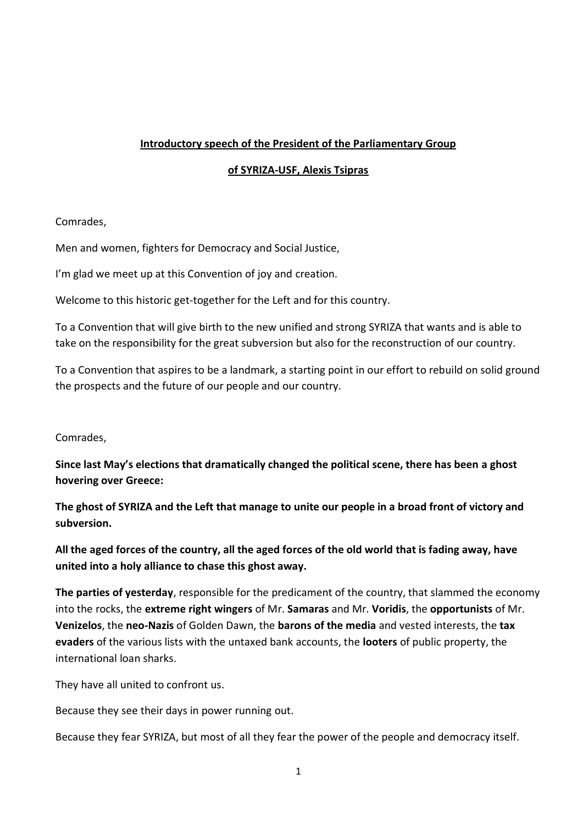### **Introductory speech of the President of the Parliamentary Group**

### **of SYRIZA-USF, Alexis Tsipras**

### Comrades,

Men and women, fighters for Democracy and Social Justice,

I'm glad we meet up at this Convention of joy and creation.

Welcome to this historic get-together for the Left and for this country.

To a Convention that will give birth to the new unified and strong SYRIZA that wants and is able to take on the responsibility for the great subversion but also for the reconstruction of our country.

To a Convention that aspires to be a landmark, a starting point in our effort to rebuild on solid ground the prospects and the future of our people and our country.

### Comrades,

**Since last May's elections that dramatically changed the political scene, there has been a ghost hovering over Greece:**

**The ghost of SYRIZA and the Left that manage to unite our people in a broad front of victory and subversion.**

**All the aged forces of the country, all the aged forces of the old world that is fading away, have united into a holy alliance to chase this ghost away.**

**The parties of yesterday**, responsible for the predicament of the country, that slammed the economy into the rocks, the **extreme right wingers** of Mr. **Samaras** and Mr. **Voridis**, the **opportunists** of Mr. **Venizelos**, the **neo-Nazis** of Golden Dawn, the **barons of the media** and vested interests, the **tax evaders** of the various lists with the untaxed bank accounts, the **looters** of public property, the international loan sharks.

They have all united to confront us.

Because they see their days in power running out.

Because they fear SYRIZA, but most of all they fear the power of the people and democracy itself.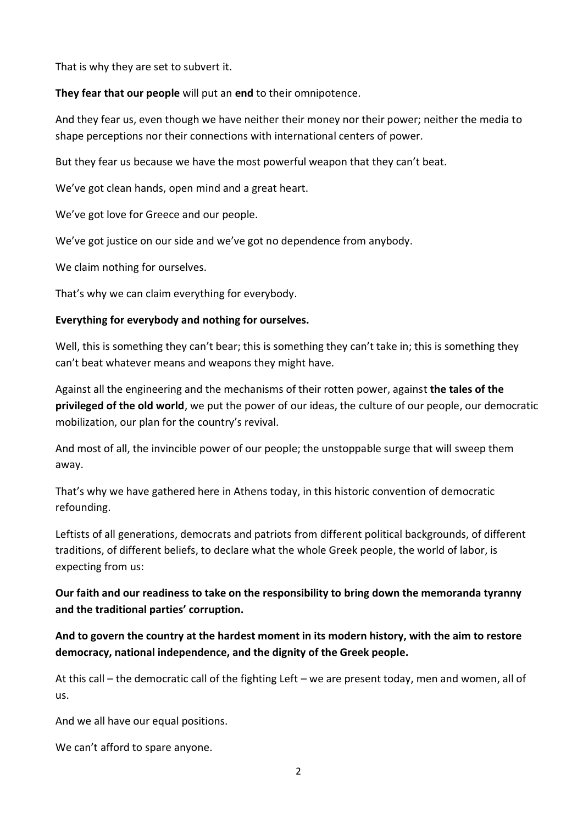That is why they are set to subvert it.

**They fear that our people** will put an **end** to their omnipotence.

And they fear us, even though we have neither their money nor their power; neither the media to shape perceptions nor their connections with international centers of power.

But they fear us because we have the most powerful weapon that they can't beat.

We've got clean hands, open mind and a great heart.

We've got love for Greece and our people.

We've got justice on our side and we've got no dependence from anybody.

We claim nothing for ourselves.

That's why we can claim everything for everybody.

#### **Everything for everybody and nothing for ourselves.**

Well, this is something they can't bear; this is something they can't take in; this is something they can't beat whatever means and weapons they might have.

Against all the engineering and the mechanisms of their rotten power, against **the tales of the privileged of the old world**, we put the power of our ideas, the culture of our people, our democratic mobilization, our plan for the country's revival.

And most of all, the invincible power of our people; the unstoppable surge that will sweep them away.

That's why we have gathered here in Athens today, in this historic convention of democratic refounding.

Leftists of all generations, democrats and patriots from different political backgrounds, of different traditions, of different beliefs, to declare what the whole Greek people, the world of labor, is expecting from us:

## **Our faith and our readiness to take on the responsibility to bring down the memoranda tyranny and the traditional parties' corruption.**

**And to govern the country at the hardest moment in its modern history, with the aim to restore democracy, national independence, and the dignity of the Greek people.**

At this call – the democratic call of the fighting Left – we are present today, men and women, all of us.

And we all have our equal positions.

We can't afford to spare anyone.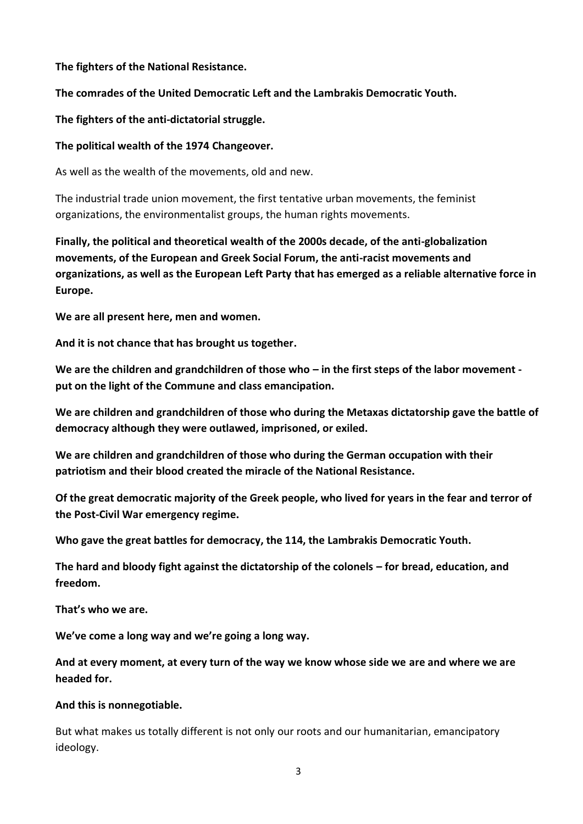#### **The fighters of the National Resistance.**

#### **The comrades of the United Democratic Left and the Lambrakis Democratic Youth.**

#### **The fighters of the anti-dictatorial struggle.**

#### **The political wealth of the 1974 Changeover.**

As well as the wealth of the movements, old and new.

The industrial trade union movement, the first tentative urban movements, the feminist organizations, the environmentalist groups, the human rights movements.

**Finally, the political and theoretical wealth of the 2000s decade, of the anti-globalization movements, of the European and Greek Social Forum, the anti-racist movements and organizations, as well as the European Left Party that has emerged as a reliable alternative force in Europe.**

**We are all present here, men and women.**

**And it is not chance that has brought us together.**

**We are the children and grandchildren of those who – in the first steps of the labor movement put on the light of the Commune and class emancipation.**

**We are children and grandchildren of those who during the Metaxas dictatorship gave the battle of democracy although they were outlawed, imprisoned, or exiled.**

**We are children and grandchildren of those who during the German occupation with their patriotism and their blood created the miracle of the National Resistance.**

**Of the great democratic majority of the Greek people, who lived for years in the fear and terror of the Post-Civil War emergency regime.**

**Who gave the great battles for democracy, the 114, the Lambrakis Democratic Youth.**

**The hard and bloody fight against the dictatorship of the colonels – for bread, education, and freedom.**

**That's who we are.**

**We've come a long way and we're going a long way.** 

**And at every moment, at every turn of the way we know whose side we are and where we are headed for.**

#### **And this is nonnegotiable.**

But what makes us totally different is not only our roots and our humanitarian, emancipatory ideology.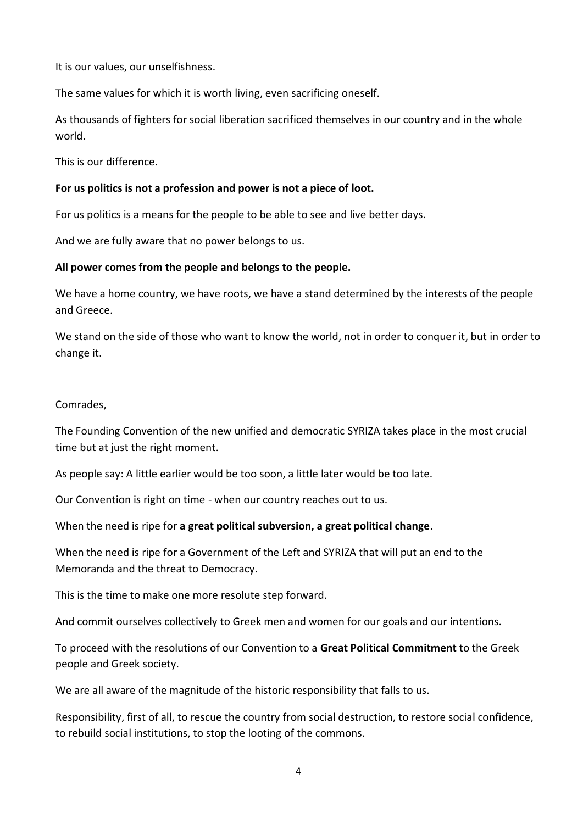It is our values, our unselfishness.

The same values for which it is worth living, even sacrificing oneself.

As thousands of fighters for social liberation sacrificed themselves in our country and in the whole world.

This is our difference.

#### **For us politics is not a profession and power is not a piece of loot.**

For us politics is a means for the people to be able to see and live better days.

And we are fully aware that no power belongs to us.

#### **All power comes from the people and belongs to the people.**

We have a home country, we have roots, we have a stand determined by the interests of the people and Greece.

We stand on the side of those who want to know the world, not in order to conquer it, but in order to change it.

#### Comrades,

The Founding Convention of the new unified and democratic SYRIZA takes place in the most crucial time but at just the right moment.

As people say: A little earlier would be too soon, a little later would be too late.

Our Convention is right on time - when our country reaches out to us.

When the need is ripe for **a great political subversion, a great political change**.

When the need is ripe for a Government of the Left and SYRIZA that will put an end to the Memoranda and the threat to Democracy.

This is the time to make one more resolute step forward.

And commit ourselves collectively to Greek men and women for our goals and our intentions.

To proceed with the resolutions of our Convention to a **Great Political Commitment** to the Greek people and Greek society.

We are all aware of the magnitude of the historic responsibility that falls to us.

Responsibility, first of all, to rescue the country from social destruction, to restore social confidence, to rebuild social institutions, to stop the looting of the commons.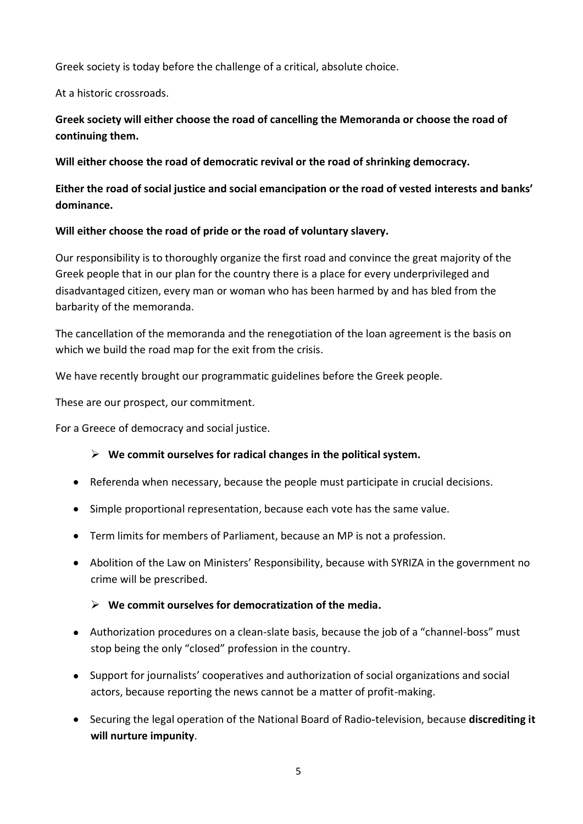Greek society is today before the challenge of a critical, absolute choice.

At a historic crossroads.

# **Greek society will either choose the road of cancelling the Memoranda or choose the road of continuing them.**

**Will either choose the road of democratic revival or the road of shrinking democracy.**

**Either the road of social justice and social emancipation or the road of vested interests and banks' dominance.**

## **Will either choose the road of pride or the road of voluntary slavery.**

Our responsibility is to thoroughly organize the first road and convince the great majority of the Greek people that in our plan for the country there is a place for every underprivileged and disadvantaged citizen, every man or woman who has been harmed by and has bled from the barbarity of the memoranda.

The cancellation of the memoranda and the renegotiation of the loan agreement is the basis on which we build the road map for the exit from the crisis.

We have recently brought our programmatic guidelines before the Greek people.

These are our prospect, our commitment.

For a Greece of democracy and social justice.

## **We commit ourselves for radical changes in the political system.**

- Referenda when necessary, because the people must participate in crucial decisions.
- Simple proportional representation, because each vote has the same value.
- Term limits for members of Parliament, because an MP is not a profession.
- Abolition of the Law on Ministers' Responsibility, because with SYRIZA in the government no crime will be prescribed.

### **We commit ourselves for democratization of the media.**

- Authorization procedures on a clean-slate basis, because the job of a "channel-boss" must stop being the only "closed" profession in the country.
- Support for journalists' cooperatives and authorization of social organizations and social actors, because reporting the news cannot be a matter of profit-making.
- Securing the legal operation of the National Board of Radio-television, because **discrediting it will nurture impunity**.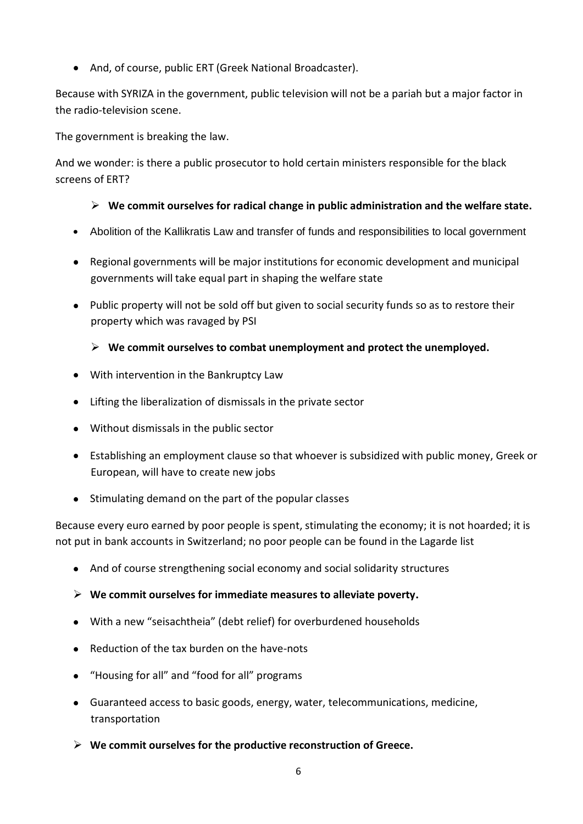And, of course, public ERT (Greek National Broadcaster).

Because with SYRIZA in the government, public television will not be a pariah but a major factor in the radio-television scene.

The government is breaking the law.

And we wonder: is there a public prosecutor to hold certain ministers responsible for the black screens of ERT?

## **We commit ourselves for radical change in public administration and the welfare state.**

- Abolition of the Kallikratis Law and transfer of funds and responsibilities to local government
- Regional governments will be major institutions for economic development and municipal governments will take equal part in shaping the welfare state
- Public property will not be sold off but given to social security funds so as to restore their property which was ravaged by PSI

## **We commit ourselves to combat unemployment and protect the unemployed.**

- With intervention in the Bankruptcy Law
- Lifting the liberalization of dismissals in the private sector
- Without dismissals in the public sector
- Establishing an employment clause so that whoever is subsidized with public money, Greek or European, will have to create new jobs
- Stimulating demand on the part of the popular classes

Because every euro earned by poor people is spent, stimulating the economy; it is not hoarded; it is not put in bank accounts in Switzerland; no poor people can be found in the Lagarde list

- And of course strengthening social economy and social solidarity structures
- **We commit ourselves for immediate measures to alleviate poverty.**
- With a new "seisachtheia" (debt relief) for overburdened households
- Reduction of the tax burden on the have-nots
- "Housing for all" and "food for all" programs
- Guaranteed access to basic goods, energy, water, telecommunications, medicine, transportation
- **We commit ourselves for the productive reconstruction of Greece.**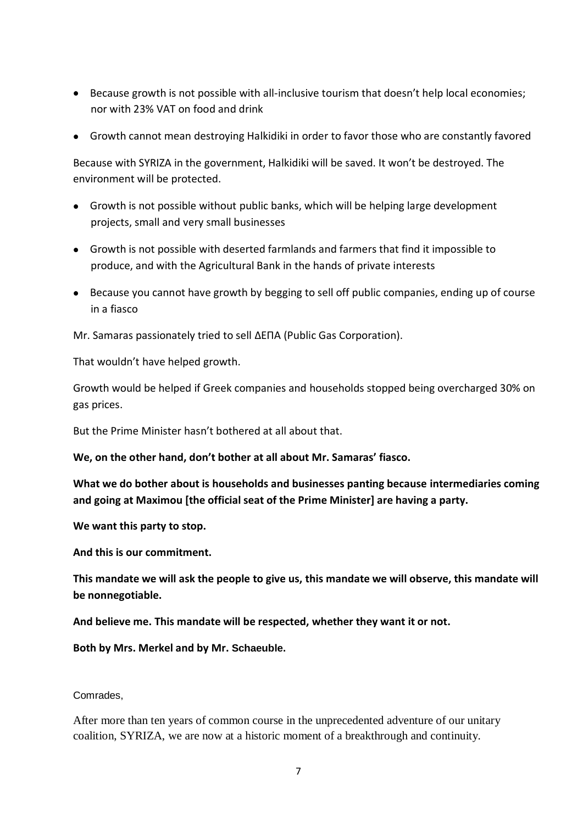- Because growth is not possible with all-inclusive tourism that doesn't help local economies; nor with 23% VAT on food and drink
- Growth cannot mean destroying Halkidiki in order to favor those who are constantly favored

Because with SYRIZA in the government, Halkidiki will be saved. It won't be destroyed. The environment will be protected.

- Growth is not possible without public banks, which will be helping large development projects, small and very small businesses
- Growth is not possible with deserted farmlands and farmers that find it impossible to produce, and with the Agricultural Bank in the hands of private interests
- Because you cannot have growth by begging to sell off public companies, ending up of course in a fiasco

Mr. Samaras passionately tried to sell ΔΕΠΑ (Public Gas Corporation).

That wouldn't have helped growth.

Growth would be helped if Greek companies and households stopped being overcharged 30% on gas prices.

But the Prime Minister hasn't bothered at all about that.

**We, on the other hand, don't bother at all about Mr. Samaras' fiasco.**

**What we do bother about is households and businesses panting because intermediaries coming and going at Maximou [the official seat of the Prime Minister] are having a party.**

**We want this party to stop.**

**And this is our commitment.**

**This mandate we will ask the people to give us, this mandate we will observe, this mandate will be nonnegotiable.**

**And believe me. This mandate will be respected, whether they want it or not.**

**Both by Mrs. Merkel and by Mr. Schaeuble.**

Comrades,

After more than ten years of common course in the unprecedented adventure of our unitary coalition, SYRIZA, we are now at a historic moment of a breakthrough and continuity.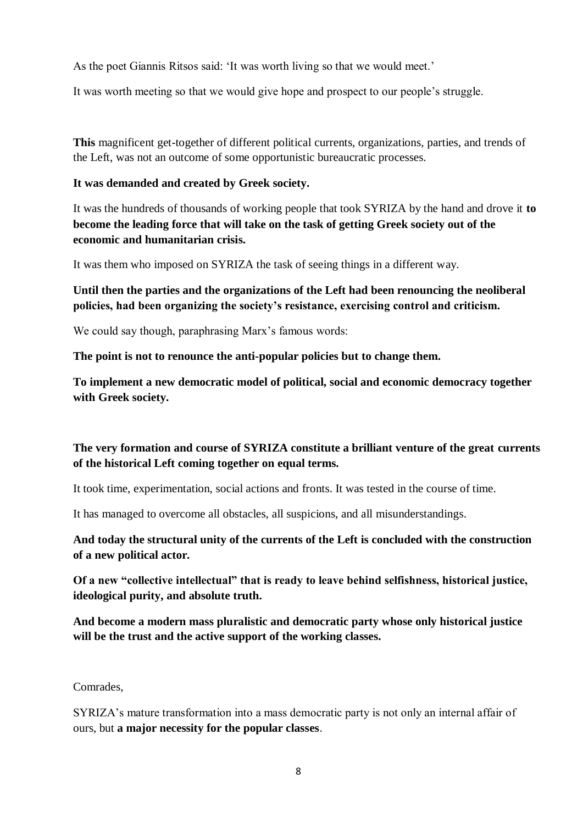As the poet Giannis Ritsos said: 'It was worth living so that we would meet.'

It was worth meeting so that we would give hope and prospect to our people's struggle.

**This** magnificent get-together of different political currents, organizations, parties, and trends of the Left, was not an outcome of some opportunistic bureaucratic processes.

### **It was demanded and created by Greek society.**

It was the hundreds of thousands of working people that took SYRIZA by the hand and drove it **to become the leading force that will take on the task of getting Greek society out of the economic and humanitarian crisis.**

It was them who imposed on SYRIZA the task of seeing things in a different way.

## **Until then the parties and the organizations of the Left had been renouncing the neoliberal policies, had been organizing the society's resistance, exercising control and criticism.**

We could say though, paraphrasing Marx's famous words:

**The point is not to renounce the anti-popular policies but to change them.**

**To implement a new democratic model of political, social and economic democracy together with Greek society.**

# **The very formation and course of SYRIZA constitute a brilliant venture of the great currents of the historical Left coming together on equal terms.**

It took time, experimentation, social actions and fronts. It was tested in the course of time.

It has managed to overcome all obstacles, all suspicions, and all misunderstandings.

## **And today the structural unity of the currents of the Left is concluded with the construction of a new political actor.**

**Of a new "collective intellectual" that is ready to leave behind selfishness, historical justice, ideological purity, and absolute truth.**

**And become a modern mass pluralistic and democratic party whose only historical justice will be the trust and the active support of the working classes.**

### Comrades,

SYRIZA's mature transformation into a mass democratic party is not only an internal affair of ours, but **a major necessity for the popular classes**.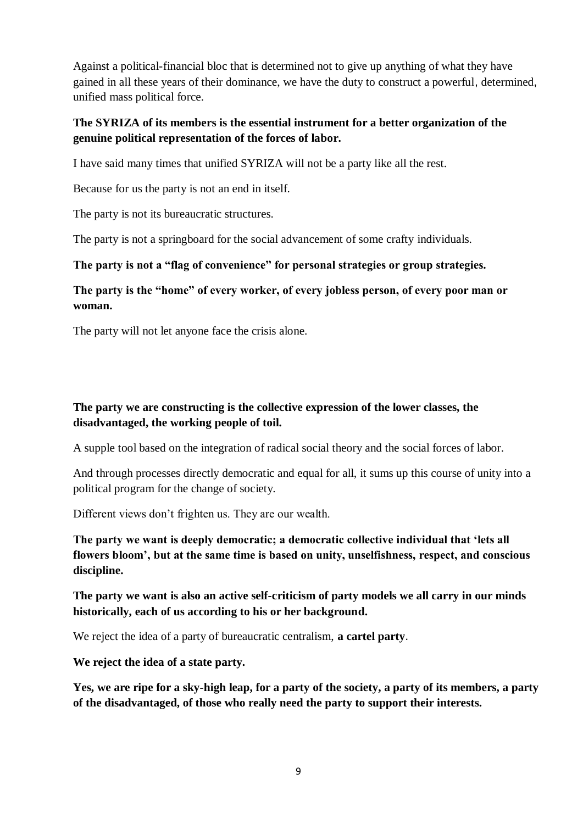Against a political-financial bloc that is determined not to give up anything of what they have gained in all these years of their dominance, we have the duty to construct a powerful, determined, unified mass political force.

## **The SYRIZA of its members is the essential instrument for a better organization of the genuine political representation of the forces of labor.**

I have said many times that unified SYRIZA will not be a party like all the rest.

Because for us the party is not an end in itself.

The party is not its bureaucratic structures.

The party is not a springboard for the social advancement of some crafty individuals.

#### **The party is not a "flag of convenience" for personal strategies or group strategies.**

**The party is the "home" of every worker, of every jobless person, of every poor man or woman.** 

The party will not let anyone face the crisis alone.

## **The party we are constructing is the collective expression of the lower classes, the disadvantaged, the working people of toil.**

A supple tool based on the integration of radical social theory and the social forces of labor.

And through processes directly democratic and equal for all, it sums up this course of unity into a political program for the change of society.

Different views don't frighten us. They are our wealth.

**The party we want is deeply democratic; a democratic collective individual that 'lets all flowers bloom', but at the same time is based on unity, unselfishness, respect, and conscious discipline.**

**The party we want is also an active self-criticism of party models we all carry in our minds historically, each of us according to his or her background.**

We reject the idea of a party of bureaucratic centralism, **a cartel party**.

**We reject the idea of a state party.**

**Yes, we are ripe for a sky-high leap, for a party of the society, a party of its members, a party of the disadvantaged, of those who really need the party to support their interests.**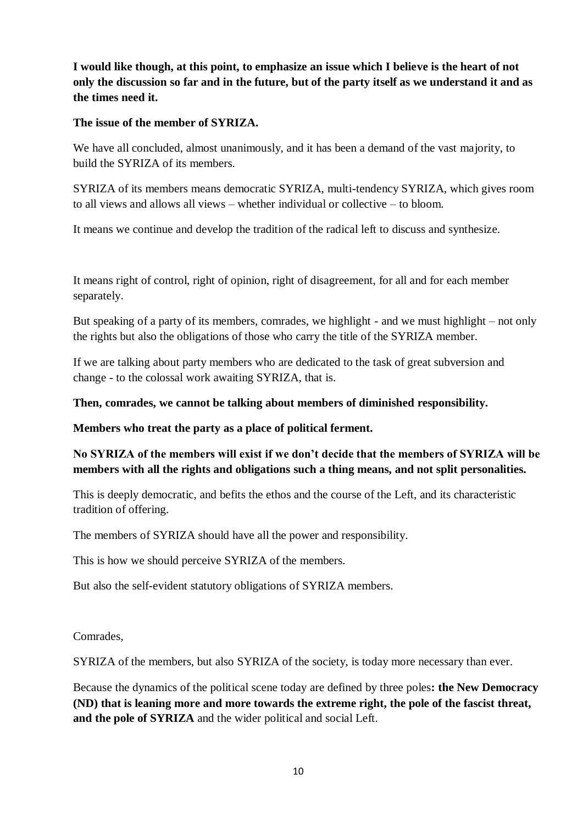**I would like though, at this point, to emphasize an issue which I believe is the heart of not only the discussion so far and in the future, but of the party itself as we understand it and as the times need it.**

### **The issue of the member of SYRIZA.**

We have all concluded, almost unanimously, and it has been a demand of the vast majority, to build the SYRIZA of its members.

SYRIZA of its members means democratic SYRIZA, multi-tendency SYRIZA, which gives room to all views and allows all views – whether individual or collective – to bloom.

It means we continue and develop the tradition of the radical left to discuss and synthesize.

It means right of control, right of opinion, right of disagreement, for all and for each member separately.

But speaking of a party of its members, comrades, we highlight - and we must highlight – not only the rights but also the obligations of those who carry the title of the SYRIZA member.

If we are talking about party members who are dedicated to the task of great subversion and change - to the colossal work awaiting SYRIZA, that is.

## **Then, comrades, we cannot be talking about members of diminished responsibility.**

**Members who treat the party as a place of political ferment.**

# **No SYRIZA of the members will exist if we don't decide that the members of SYRIZA will be members with all the rights and obligations such a thing means, and not split personalities.**

This is deeply democratic, and befits the ethos and the course of the Left, and its characteristic tradition of offering.

The members of SYRIZA should have all the power and responsibility.

This is how we should perceive SYRIZA of the members.

But also the self-evident statutory obligations of SYRIZA members.

Comrades,

SYRIZA of the members, but also SYRIZA of the society, is today more necessary than ever.

Because the dynamics of the political scene today are defined by three poles**: the New Democracy (ND) that is leaning more and more towards the extreme right, the pole of the fascist threat, and the pole of SYRIZA** and the wider political and social Left.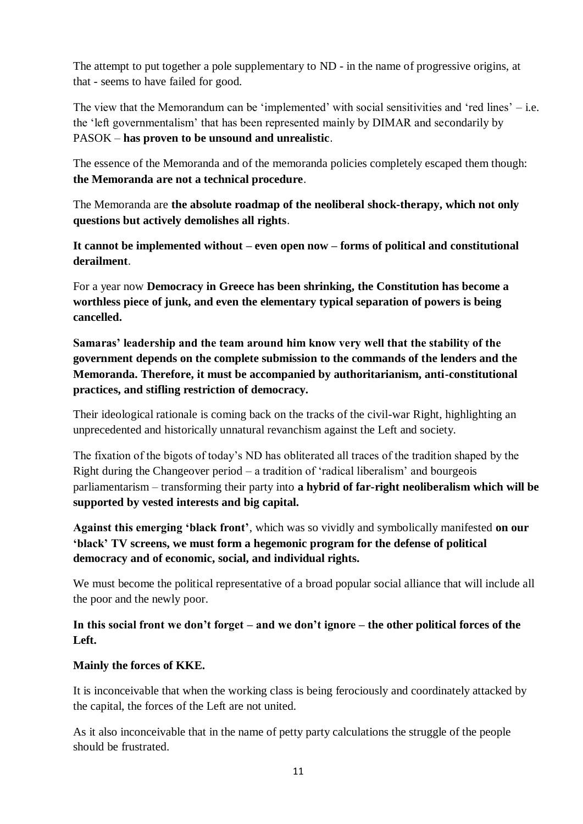The attempt to put together a pole supplementary to ND - in the name of progressive origins, at that - seems to have failed for good.

The view that the Memorandum can be 'implemented' with social sensitivities and 'red lines'  $-$  i.e. the 'left governmentalism' that has been represented mainly by DIMAR and secondarily by PASOK – **has proven to be unsound and unrealistic**.

The essence of the Memoranda and of the memoranda policies completely escaped them though: **the Memoranda are not a technical procedure**.

The Memoranda are **the absolute roadmap of the neoliberal shock-therapy, which not only questions but actively demolishes all rights**.

**It cannot be implemented without – even open now – forms of political and constitutional derailment**.

For a year now **Democracy in Greece has been shrinking, the Constitution has become a worthless piece of junk, and even the elementary typical separation of powers is being cancelled.** 

**Samaras' leadership and the team around him know very well that the stability of the government depends on the complete submission to the commands of the lenders and the Memoranda. Therefore, it must be accompanied by authoritarianism, anti-constitutional practices, and stifling restriction of democracy.**

Their ideological rationale is coming back on the tracks of the civil-war Right, highlighting an unprecedented and historically unnatural revanchism against the Left and society.

The fixation of the bigots of today's ND has obliterated all traces of the tradition shaped by the Right during the Changeover period – a tradition of 'radical liberalism' and bourgeois parliamentarism – transforming their party into **a hybrid of far-right neoliberalism which will be supported by vested interests and big capital.**

**Against this emerging 'black front'**, which was so vividly and symbolically manifested **on our 'black' TV screens, we must form a hegemonic program for the defense of political democracy and of economic, social, and individual rights.**

We must become the political representative of a broad popular social alliance that will include all the poor and the newly poor.

**In this social front we don't forget – and we don't ignore – the other political forces of the Left.**

### **Mainly the forces of KKE.**

It is inconceivable that when the working class is being ferociously and coordinately attacked by the capital, the forces of the Left are not united.

As it also inconceivable that in the name of petty party calculations the struggle of the people should be frustrated.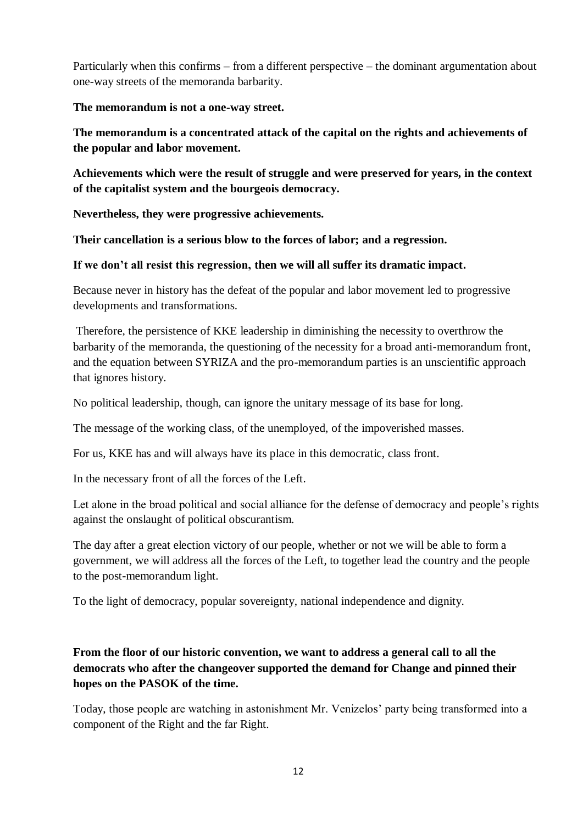Particularly when this confirms – from a different perspective – the dominant argumentation about one-way streets of the memoranda barbarity.

**The memorandum is not a one-way street.**

**The memorandum is a concentrated attack of the capital on the rights and achievements of the popular and labor movement.**

**Achievements which were the result of struggle and were preserved for years, in the context of the capitalist system and the bourgeois democracy.**

**Nevertheless, they were progressive achievements.**

**Their cancellation is a serious blow to the forces of labor; and a regression.**

**If we don't all resist this regression, then we will all suffer its dramatic impact.**

Because never in history has the defeat of the popular and labor movement led to progressive developments and transformations.

Therefore, the persistence of KKE leadership in diminishing the necessity to overthrow the barbarity of the memoranda, the questioning of the necessity for a broad anti-memorandum front, and the equation between SYRIZA and the pro-memorandum parties is an unscientific approach that ignores history.

No political leadership, though, can ignore the unitary message of its base for long.

The message of the working class, of the unemployed, of the impoverished masses.

For us, KKE has and will always have its place in this democratic, class front.

In the necessary front of all the forces of the Left.

Let alone in the broad political and social alliance for the defense of democracy and people's rights against the onslaught of political obscurantism.

The day after a great election victory of our people, whether or not we will be able to form a government, we will address all the forces of the Left, to together lead the country and the people to the post-memorandum light.

To the light of democracy, popular sovereignty, national independence and dignity.

# **From the floor of our historic convention, we want to address a general call to all the democrats who after the changeover supported the demand for Change and pinned their hopes on the PASOK of the time.**

Today, those people are watching in astonishment Mr. Venizelos' party being transformed into a component of the Right and the far Right.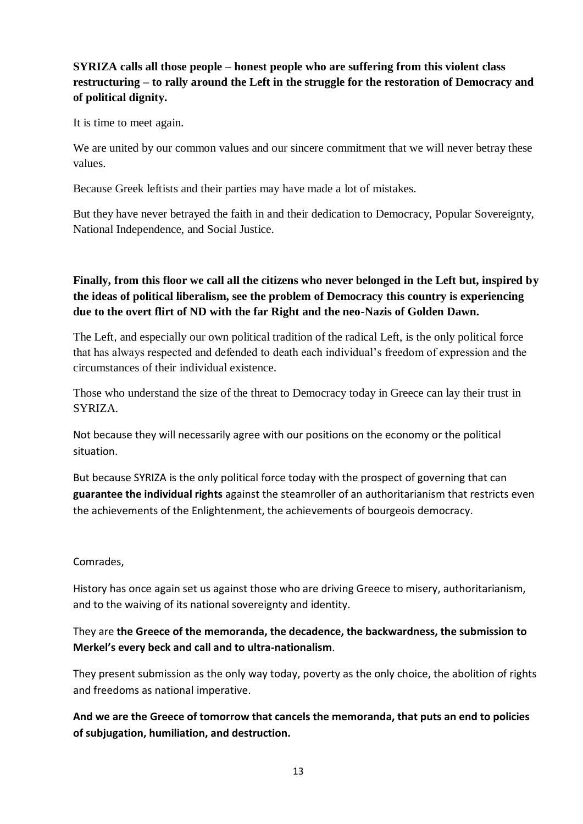# **SYRIZA calls all those people – honest people who are suffering from this violent class restructuring – to rally around the Left in the struggle for the restoration of Democracy and of political dignity.**

It is time to meet again.

We are united by our common values and our sincere commitment that we will never betray these values.

Because Greek leftists and their parties may have made a lot of mistakes.

But they have never betrayed the faith in and their dedication to Democracy, Popular Sovereignty, National Independence, and Social Justice.

## **Finally, from this floor we call all the citizens who never belonged in the Left but, inspired by the ideas of political liberalism, see the problem of Democracy this country is experiencing due to the overt flirt of ND with the far Right and the neo-Nazis of Golden Dawn.**

The Left, and especially our own political tradition of the radical Left, is the only political force that has always respected and defended to death each individual's freedom of expression and the circumstances of their individual existence.

Those who understand the size of the threat to Democracy today in Greece can lay their trust in SYRIZA.

Not because they will necessarily agree with our positions on the economy or the political situation.

But because SYRIZA is the only political force today with the prospect of governing that can **guarantee the individual rights** against the steamroller of an authoritarianism that restricts even the achievements of the Enlightenment, the achievements of bourgeois democracy.

### Comrades,

History has once again set us against those who are driving Greece to misery, authoritarianism, and to the waiving of its national sovereignty and identity.

## They are **the Greece of the memoranda, the decadence, the backwardness, the submission to Merkel's every beck and call and to ultra-nationalism**.

They present submission as the only way today, poverty as the only choice, the abolition of rights and freedoms as national imperative.

**And we are the Greece of tomorrow that cancels the memoranda, that puts an end to policies of subjugation, humiliation, and destruction.**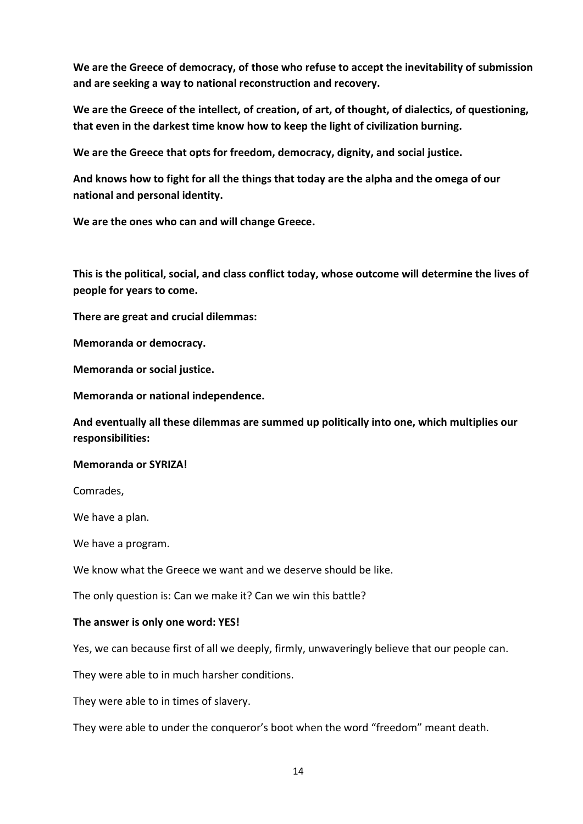**We are the Greece of democracy, of those who refuse to accept the inevitability of submission and are seeking a way to national reconstruction and recovery.**

**We are the Greece of the intellect, of creation, of art, of thought, of dialectics, of questioning, that even in the darkest time know how to keep the light of civilization burning.**

**We are the Greece that opts for freedom, democracy, dignity, and social justice.**

**And knows how to fight for all the things that today are the alpha and the omega of our national and personal identity.**

**We are the ones who can and will change Greece.**

**This is the political, social, and class conflict today, whose outcome will determine the lives of people for years to come.**

**There are great and crucial dilemmas:**

**Memoranda or democracy.**

**Memoranda or social justice.**

**Memoranda or national independence.**

**And eventually all these dilemmas are summed up politically into one, which multiplies our responsibilities:**

#### **Memoranda or SYRIZA!**

Comrades,

We have a plan.

We have a program.

We know what the Greece we want and we deserve should be like.

The only question is: Can we make it? Can we win this battle?

#### **The answer is only one word: YES!**

Yes, we can because first of all we deeply, firmly, unwaveringly believe that our people can.

They were able to in much harsher conditions.

They were able to in times of slavery.

They were able to under the conqueror's boot when the word "freedom" meant death.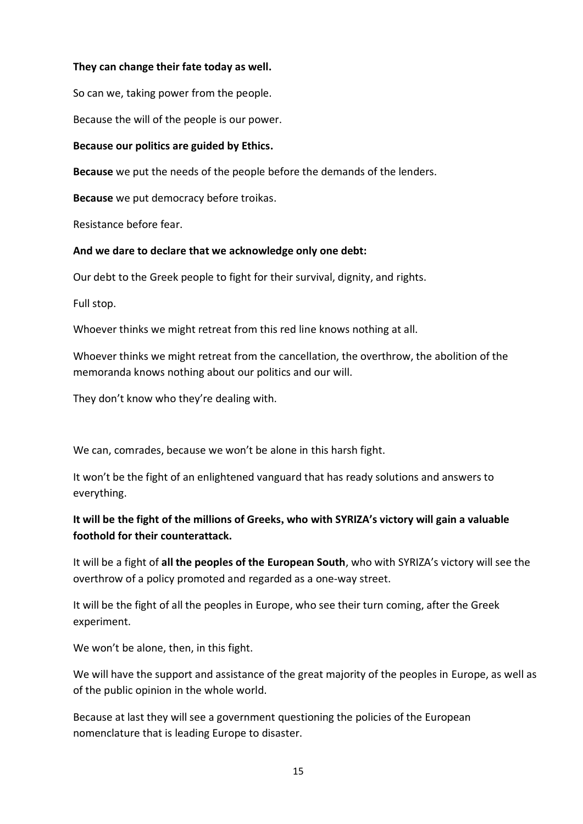#### **They can change their fate today as well.**

So can we, taking power from the people.

Because the will of the people is our power.

#### **Because our politics are guided by Ethics.**

**Because** we put the needs of the people before the demands of the lenders.

**Because** we put democracy before troikas.

Resistance before fear.

#### **And we dare to declare that we acknowledge only one debt:**

Our debt to the Greek people to fight for their survival, dignity, and rights.

Full stop.

Whoever thinks we might retreat from this red line knows nothing at all.

Whoever thinks we might retreat from the cancellation, the overthrow, the abolition of the memoranda knows nothing about our politics and our will.

They don't know who they're dealing with.

We can, comrades, because we won't be alone in this harsh fight.

It won't be the fight of an enlightened vanguard that has ready solutions and answers to everything.

# **It will be the fight of the millions of Greeks, who with SYRIZA's victory will gain a valuable foothold for their counterattack.**

It will be a fight of **all the peoples of the European South**, who with SYRIZA's victory will see the overthrow of a policy promoted and regarded as a one-way street.

It will be the fight of all the peoples in Europe, who see their turn coming, after the Greek experiment.

We won't be alone, then, in this fight.

We will have the support and assistance of the great majority of the peoples in Europe, as well as of the public opinion in the whole world.

Because at last they will see a government questioning the policies of the European nomenclature that is leading Europe to disaster.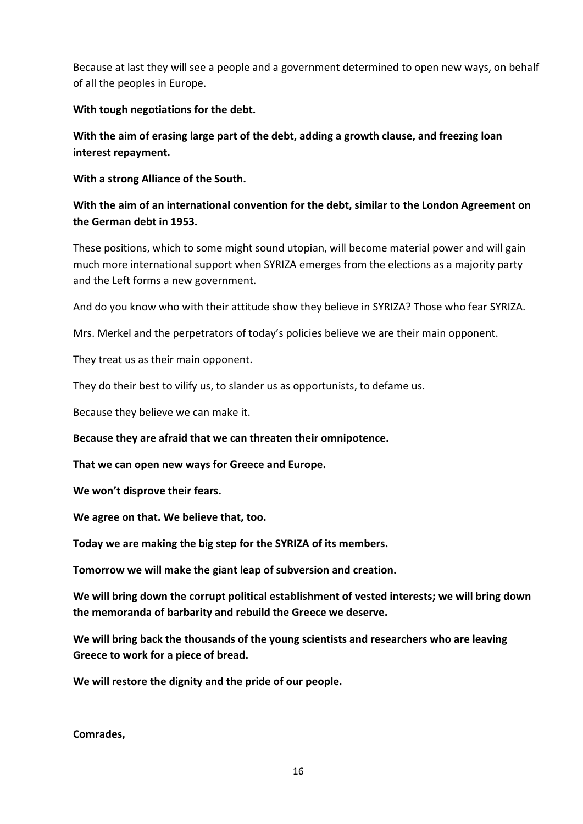Because at last they will see a people and a government determined to open new ways, on behalf of all the peoples in Europe.

**With tough negotiations for the debt.**

**With the aim of erasing large part of the debt, adding a growth clause, and freezing loan interest repayment.**

**With a strong Alliance of the South.**

# **With the aim of an international convention for the debt, similar to the London Agreement on the German debt in 1953.**

These positions, which to some might sound utopian, will become material power and will gain much more international support when SYRIZA emerges from the elections as a majority party and the Left forms a new government.

And do you know who with their attitude show they believe in SYRIZA? Those who fear SYRIZA.

Mrs. Merkel and the perpetrators of today's policies believe we are their main opponent.

They treat us as their main opponent.

They do their best to vilify us, to slander us as opportunists, to defame us.

Because they believe we can make it.

**Because they are afraid that we can threaten their omnipotence.**

**That we can open new ways for Greece and Europe.**

**We won't disprove their fears.**

**We agree on that. We believe that, too.**

**Today we are making the big step for the SYRIZA of its members.**

**Tomorrow we will make the giant leap of subversion and creation.**

**We will bring down the corrupt political establishment of vested interests; we will bring down the memoranda of barbarity and rebuild the Greece we deserve.**

**We will bring back the thousands of the young scientists and researchers who are leaving Greece to work for a piece of bread.**

**We will restore the dignity and the pride of our people.**

**Comrades,**